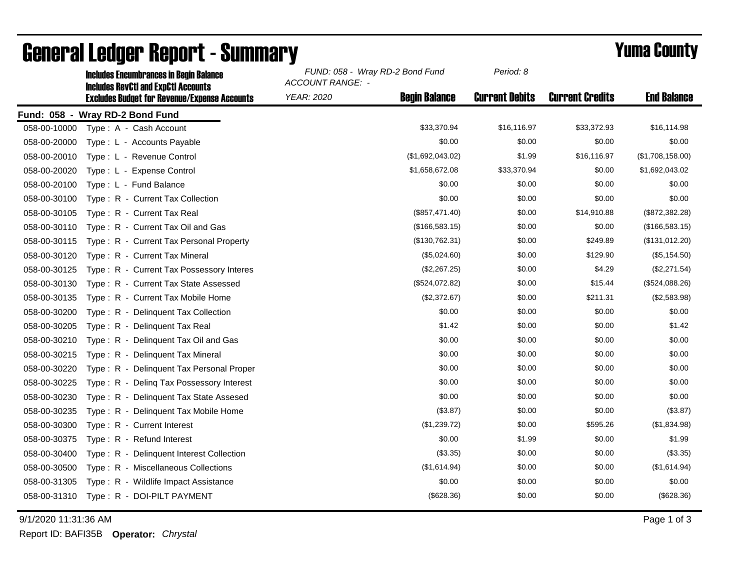| <b>Includes Encumbrances in Begin Balance</b>       | <b>ACCOUNT RANGE: -</b>                                                                       |                | Period: 8                                                                                     |                        |                    |
|-----------------------------------------------------|-----------------------------------------------------------------------------------------------|----------------|-----------------------------------------------------------------------------------------------|------------------------|--------------------|
| <b>Excludes Budget for Revenue/Expense Accounts</b> | <b>YEAR: 2020</b>                                                                             |                | <b>Current Debits</b>                                                                         | <b>Current Credits</b> | <b>End Balance</b> |
|                                                     |                                                                                               |                |                                                                                               |                        |                    |
| Type: A - Cash Account                              |                                                                                               | \$33,370.94    | \$16,116.97                                                                                   | \$33,372.93            | \$16,114.98        |
| Type: L - Accounts Payable                          |                                                                                               | \$0.00         | \$0.00                                                                                        | \$0.00                 | \$0.00             |
| Type: L - Revenue Control                           |                                                                                               |                | \$1.99                                                                                        | \$16,116.97            | (\$1,708,158.00)   |
| Type: L - Expense Control                           |                                                                                               |                | \$33,370.94                                                                                   | \$0.00                 | \$1,692,043.02     |
| Type: L - Fund Balance                              |                                                                                               | \$0.00         | \$0.00                                                                                        | \$0.00                 | \$0.00             |
| Type: R - Current Tax Collection                    |                                                                                               | \$0.00         | \$0.00                                                                                        | \$0.00                 | \$0.00             |
| Type: R - Current Tax Real                          |                                                                                               | (\$857,471.40) | \$0.00                                                                                        | \$14,910.88            | (\$872,382.28)     |
| Type: R - Current Tax Oil and Gas                   |                                                                                               | (\$166,583.15) | \$0.00                                                                                        | \$0.00                 | (\$166,583.15)     |
| Type: R - Current Tax Personal Property             |                                                                                               | (\$130,762.31) | \$0.00                                                                                        | \$249.89               | (\$131,012.20)     |
| Type: R - Current Tax Mineral                       |                                                                                               | (\$5,024.60)   | \$0.00                                                                                        | \$129.90               | (\$5,154.50)       |
| Type: R - Current Tax Possessory Interes            |                                                                                               | (\$2,267.25)   | \$0.00                                                                                        | \$4.29                 | (\$2,271.54)       |
| Type: R - Current Tax State Assessed                |                                                                                               | (\$524,072.82) | \$0.00                                                                                        | \$15.44                | (\$524,088.26)     |
| Type: R - Current Tax Mobile Home                   |                                                                                               | (\$2,372.67)   | \$0.00                                                                                        | \$211.31               | (\$2,583.98)       |
| Type: R - Delinquent Tax Collection                 |                                                                                               | \$0.00         | \$0.00                                                                                        | \$0.00                 | \$0.00             |
| Type: R - Delinquent Tax Real                       |                                                                                               | \$1.42         | \$0.00                                                                                        | \$0.00                 | \$1.42             |
| Type: R - Delinquent Tax Oil and Gas                |                                                                                               | \$0.00         | \$0.00                                                                                        | \$0.00                 | \$0.00             |
| Type: R - Delinguent Tax Mineral                    |                                                                                               | \$0.00         | \$0.00                                                                                        | \$0.00                 | \$0.00             |
| Type: R - Delinquent Tax Personal Proper            |                                                                                               | \$0.00         | \$0.00                                                                                        | \$0.00                 | \$0.00             |
| Type: R - Deling Tax Possessory Interest            |                                                                                               | \$0.00         | \$0.00                                                                                        | \$0.00                 | \$0.00             |
| Type: R - Delinguent Tax State Assesed              |                                                                                               | \$0.00         | \$0.00                                                                                        | \$0.00                 | \$0.00             |
| Type: R - Delinquent Tax Mobile Home                |                                                                                               | (\$3.87)       | \$0.00                                                                                        | \$0.00                 | (\$3.87)           |
| Type: R - Current Interest                          |                                                                                               | (\$1,239.72)   | \$0.00                                                                                        | \$595.26               | (\$1,834.98)       |
| Type: R - Refund Interest                           |                                                                                               | \$0.00         | \$1.99                                                                                        | \$0.00                 | \$1.99             |
| Type: R - Delinquent Interest Collection            |                                                                                               | (\$3.35)       | \$0.00                                                                                        | \$0.00                 | (\$3.35)           |
| Type: R - Miscellaneous Collections                 |                                                                                               | (\$1,614.94)   | \$0.00                                                                                        | \$0.00                 | (\$1,614.94)       |
| Type: R - Wildlife Impact Assistance                |                                                                                               | \$0.00         | \$0.00                                                                                        | \$0.00                 | \$0.00             |
| Type: R - DOI-PILT PAYMENT                          |                                                                                               | (\$628.36)     | \$0.00                                                                                        | \$0.00                 | (\$628.36)         |
| 058-00-10000<br>058-00-30130<br>058-00-30400        | <b>Includes RevCtI and ExpCtI Accounts</b><br>Fund: 058 - Wray RD-2 Bond Fund<br>058-00-31310 |                | FUND: 058 - Wray RD-2 Bond Fund<br><b>Begin Balance</b><br>(\$1,692,043.02)<br>\$1,658,672.08 |                        |                    |

## General Ledger Report - Summary **Example 2018** Yuma County

9/1/2020 11:31:36 AM Page 1 of 3

Report ID: BAFI35B **Operator:** *Chrystal*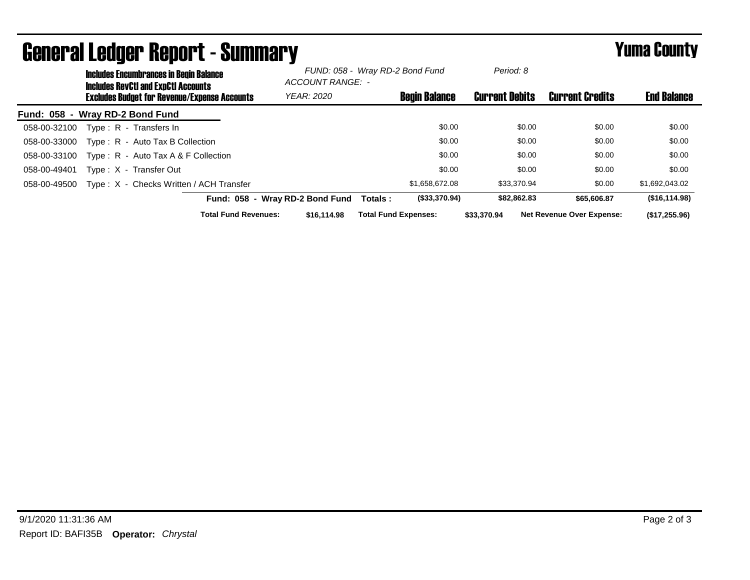|                                                     | <b>Includes Encumbrances in Begin Balance</b><br><b>Includes RevCtI and ExpCtI Accounts</b> |                                         |                                 | FUND: 058 - Wray RD-2 Bond Fund<br>ACCOUNT RANGE: - |                             | Period: 8   | <b>Current Credits</b>           | <b>End Balance</b> |
|-----------------------------------------------------|---------------------------------------------------------------------------------------------|-----------------------------------------|---------------------------------|-----------------------------------------------------|-----------------------------|-------------|----------------------------------|--------------------|
| <b>Excludes Budget for Revenue/Expense Accounts</b> |                                                                                             | <b>YEAR: 2020</b>                       |                                 | <b>Begin Balance</b>                                | <b>Current Debits</b>       |             |                                  |                    |
| Fund: 058 - Wray RD-2 Bond Fund                     |                                                                                             |                                         |                                 |                                                     |                             |             |                                  |                    |
| 058-00-32100                                        |                                                                                             | Type: R - Transfers In                  |                                 |                                                     | \$0.00                      | \$0.00      | \$0.00                           | \$0.00             |
| 058-00-33000                                        |                                                                                             | Type: R - Auto Tax B Collection         |                                 |                                                     | \$0.00                      | \$0.00      | \$0.00                           | \$0.00             |
| 058-00-33100                                        |                                                                                             | Type: $R -$ Auto Tax A & F Collection   |                                 |                                                     | \$0.00                      | \$0.00      | \$0.00                           | \$0.00             |
| 058-00-49401                                        |                                                                                             | Type: X - Transfer Out                  |                                 |                                                     | \$0.00                      | \$0.00      | \$0.00                           | \$0.00             |
| 058-00-49500                                        |                                                                                             | Type: X - Checks Written / ACH Transfer |                                 |                                                     | \$1,658,672.08              | \$33,370.94 | \$0.00                           | \$1,692,043.02     |
|                                                     |                                                                                             |                                         | Fund: 058 - Wray RD-2 Bond Fund | Totals:                                             | (\$33,370.94)               | \$82,862.83 | \$65,606.87                      | (S16, 114.98)      |
|                                                     |                                                                                             | <b>Total Fund Revenues:</b>             | \$16,114.98                     |                                                     | <b>Total Fund Expenses:</b> | \$33,370.94 | <b>Net Revenue Over Expense:</b> | (\$17,255.96)      |

## General Ledger Report - Summary **Example 2018** Yuma County